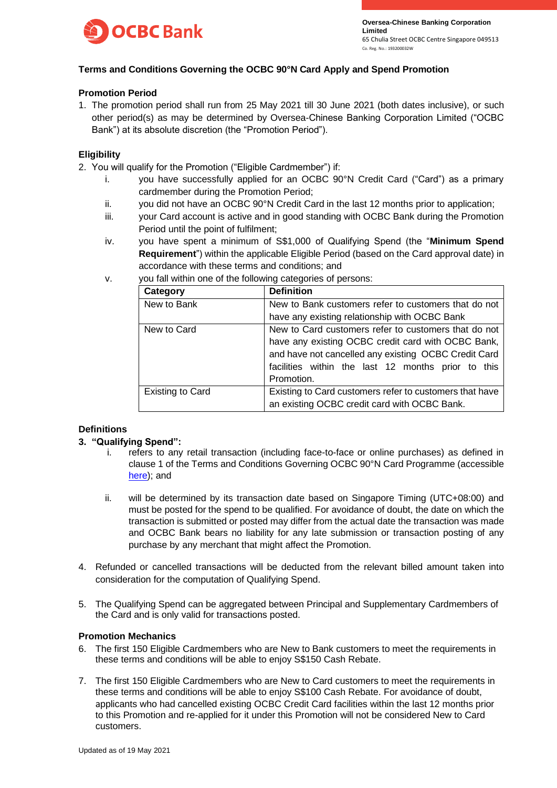

## **Terms and Conditions Governing the OCBC 90°N Card Apply and Spend Promotion**

## **Promotion Period**

1. The promotion period shall run from 25 May 2021 till 30 June 2021 (both dates inclusive), or such other period(s) as may be determined by Oversea-Chinese Banking Corporation Limited ("OCBC Bank") at its absolute discretion (the "Promotion Period").

## **Eligibility**

- 2. You will qualify for the Promotion ("Eligible Cardmember") if:
	- i. you have successfully applied for an OCBC 90°N Credit Card ("Card") as a primary cardmember during the Promotion Period;
	- ii. you did not have an OCBC 90°N Credit Card in the last 12 months prior to application;
	- iii. your Card account is active and in good standing with OCBC Bank during the Promotion Period until the point of fulfilment;
	- iv. you have spent a minimum of S\$1,000 of Qualifying Spend (the "**Minimum Spend Requirement**") within the applicable Eligible Period (based on the Card approval date) in accordance with these terms and conditions; and
	- v. you fall within one of the following categories of persons:

| Category         | <b>Definition</b>                                       |  |
|------------------|---------------------------------------------------------|--|
| New to Bank      | New to Bank customers refer to customers that do not    |  |
|                  | have any existing relationship with OCBC Bank           |  |
| New to Card      | New to Card customers refer to customers that do not    |  |
|                  | have any existing OCBC credit card with OCBC Bank,      |  |
|                  | and have not cancelled any existing OCBC Credit Card    |  |
|                  | facilities within the last 12 months prior to this      |  |
|                  | Promotion.                                              |  |
| Existing to Card | Existing to Card customers refer to customers that have |  |
|                  | an existing OCBC credit card with OCBC Bank.            |  |

# **Definitions**

### **3. "Qualifying Spend":**

- i. refers to any retail transaction (including face-to-face or online purchases) as defined in clause 1 of the Terms and Conditions Governing OCBC 90°N Card Programme (accessible [here\)](https://www.ocbc.com/iwov-resources/sg/ocbc/personal/pdf/cards/tncs-90n-card-programme-wef-1apr21.pdf); and
- ii. will be determined by its transaction date based on Singapore Timing (UTC+08:00) and must be posted for the spend to be qualified. For avoidance of doubt, the date on which the transaction is submitted or posted may differ from the actual date the transaction was made and OCBC Bank bears no liability for any late submission or transaction posting of any purchase by any merchant that might affect the Promotion.
- 4. Refunded or cancelled transactions will be deducted from the relevant billed amount taken into consideration for the computation of Qualifying Spend.
- 5. The Qualifying Spend can be aggregated between Principal and Supplementary Cardmembers of the Card and is only valid for transactions posted.

### **Promotion Mechanics**

- 6. The first 150 Eligible Cardmembers who are New to Bank customers to meet the requirements in these terms and conditions will be able to enjoy S\$150 Cash Rebate.
- 7. The first 150 Eligible Cardmembers who are New to Card customers to meet the requirements in these terms and conditions will be able to enjoy S\$100 Cash Rebate. For avoidance of doubt, applicants who had cancelled existing OCBC Credit Card facilities within the last 12 months prior to this Promotion and re-applied for it under this Promotion will not be considered New to Card customers.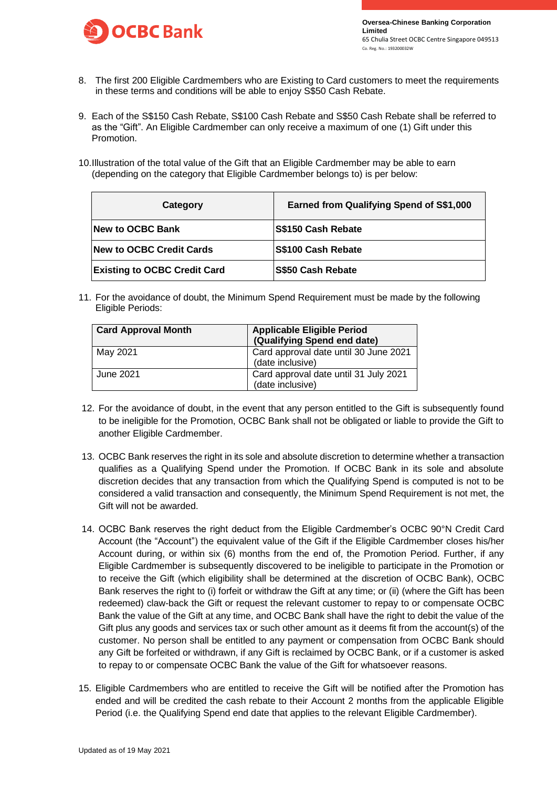

- 8. The first 200 Eligible Cardmembers who are Existing to Card customers to meet the requirements in these terms and conditions will be able to enjoy S\$50 Cash Rebate.
- 9. Each of the S\$150 Cash Rebate, S\$100 Cash Rebate and S\$50 Cash Rebate shall be referred to as the "Gift". An Eligible Cardmember can only receive a maximum of one (1) Gift under this Promotion.
- 10.Illustration of the total value of the Gift that an Eligible Cardmember may be able to earn (depending on the category that Eligible Cardmember belongs to) is per below:

| Category                            | Earned from Qualifying Spend of S\$1,000 |
|-------------------------------------|------------------------------------------|
| <b>New to OCBC Bank</b>             | S\$150 Cash Rebate                       |
| New to OCBC Credit Cards            | S\$100 Cash Rebate                       |
| <b>Existing to OCBC Credit Card</b> | <b>S\$50 Cash Rebate</b>                 |

11. For the avoidance of doubt, the Minimum Spend Requirement must be made by the following Eligible Periods:

| <b>Card Approval Month</b> | <b>Applicable Eligible Period</b><br>(Qualifying Spend end date) |
|----------------------------|------------------------------------------------------------------|
| May 2021                   | Card approval date until 30 June 2021<br>(date inclusive)        |
| June 2021                  | Card approval date until 31 July 2021<br>(date inclusive)        |

- 12. For the avoidance of doubt, in the event that any person entitled to the Gift is subsequently found to be ineligible for the Promotion, OCBC Bank shall not be obligated or liable to provide the Gift to another Eligible Cardmember.
- 13. OCBC Bank reserves the right in its sole and absolute discretion to determine whether a transaction qualifies as a Qualifying Spend under the Promotion. If OCBC Bank in its sole and absolute discretion decides that any transaction from which the Qualifying Spend is computed is not to be considered a valid transaction and consequently, the Minimum Spend Requirement is not met, the Gift will not be awarded.
- 14. OCBC Bank reserves the right deduct from the Eligible Cardmember's OCBC 90°N Credit Card Account (the "Account") the equivalent value of the Gift if the Eligible Cardmember closes his/her Account during, or within six (6) months from the end of, the Promotion Period. Further, if any Eligible Cardmember is subsequently discovered to be ineligible to participate in the Promotion or to receive the Gift (which eligibility shall be determined at the discretion of OCBC Bank), OCBC Bank reserves the right to (i) forfeit or withdraw the Gift at any time; or (ii) (where the Gift has been redeemed) claw-back the Gift or request the relevant customer to repay to or compensate OCBC Bank the value of the Gift at any time, and OCBC Bank shall have the right to debit the value of the Gift plus any goods and services tax or such other amount as it deems fit from the account(s) of the customer. No person shall be entitled to any payment or compensation from OCBC Bank should any Gift be forfeited or withdrawn, if any Gift is reclaimed by OCBC Bank, or if a customer is asked to repay to or compensate OCBC Bank the value of the Gift for whatsoever reasons.
- 15. Eligible Cardmembers who are entitled to receive the Gift will be notified after the Promotion has ended and will be credited the cash rebate to their Account 2 months from the applicable Eligible Period (i.e. the Qualifying Spend end date that applies to the relevant Eligible Cardmember).